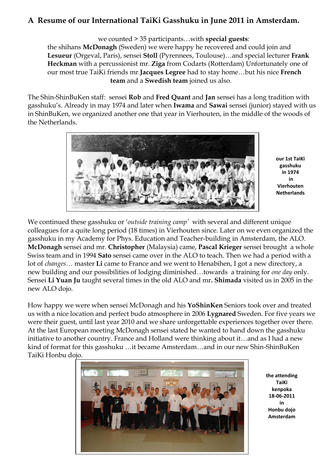## **A Resume of our International TaiKi Gasshuku in June 2011 in Amsterdam.**

we counted > 35 participants…with **special guests**:

the shihans **McDonagh** (Sweden) we were happy he recovered and could join and **Lesueur** (Orgeval, Paris), sensei **Stoll** (Pyrennees, Toulouse)…and special lecturer **Frank Heckman** with a percussionist mr. **Ziga** from Codarts (Rotterdam) Unfortunately one of our most true TaiKi friends mr.**Jacques Legree** had to stay home…but his nice **French team** and a **Swedish team** joined us also.

The Shin-ShinBuKen staff: sensei **Rob** and **Fred Quant** and **Jan** sensei has a long tradition with gasshuku"s. Already in may 1974 and later when **Iwama** and **Sawai** sensei (junior) stayed with us in ShinBuKen, we organized another one that year in Vierhouten, in the middle of the woods of the Netherlands.



**our 1st TaiKi gasshuku in 1974 in Vierhouten Netherlands**

We continued these gasshuku or "*outside training camp'* with several and different unique colleagues for a quite long period (18 times) in Vierhouten since. Later on we even organized the gasshuku in my Academy for Phys. Education and Teacher-building in Amsterdam, the ALO. **McDonagh** sensei and mr. **Christopher** (Malaysia) came, **Pascal Krieger** sensei brought a whole Swiss team and in 1994 **Sato** sensei came over in the ALO to teach. Then we had a period with a lot of *changes*… master **Li** came to France and we went to Henabihen, I got a new directory, a new building and our possibilities of lodging diminished…towards a training for *one day* only. Sensei **Li Yuan Ju** taught several times in the old ALO and mr**. Shimada** visited us in 2005 in the new ALO dojo.

How happy we were when sensei McDonagh and his **YoShinKen** Seniors took over and treated us with a nice location and perfect budo atmosphere in 2006 **Lygnared** Sweden. For five years we were their guest, until last year 2010 and we share unforgettable experiences together over there. At the last European meeting McDonagh sensei stated he wanted to hand down the gasshuku initiative to another country. France and Holland were thinking about it…and as I had a new kind of format for this gasshuku …it became Amsterdam…and in our new Shin-ShinBuKen TaiKi Honbu dojo.



**the attending TaiKi kenpoka 18-06-2011 in Honbu dojo Amsterdam**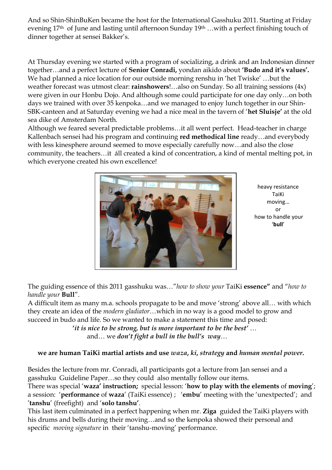And so Shin-ShinBuKen became the host for the International Gasshuku 2011. Starting at Friday evening 17th of June and lasting until afternoon Sunday 19th …with a perfect finishing touch of dinner together at sensei Bakker's.

At Thursday evening we started with a program of socializing, a drink and an Indonesian dinner together…and a perfect lecture of **Senior Conradi,** yondan aikido about **'Budo and it's values'.** We had planned a nice location for our outside morning renshu in "het Twiske" …but the weather forecast was utmost clear: **rainshowers**!…also on Sunday. So all training sessions (4x) were given in our Honbu Dojo. And although some could participate for one day only…on both days we trained with over 35 kenpoka…and we managed to enjoy lunch together in our Shin-SBK-canteen and at Saturday evening we had a nice meal in the tavern of "**het Sluisje'** at the old sea dike of Amsterdam North.

Although we feared several predictable problems…it all went perfect. Head-teacher in charge Kallenbach sensei had his program and continuing **red methodical line** ready…and everybody with less kinesphere around seemed to move especially carefully now…and also the close community, the teachers…it áll created a kind of concentration, a kind of mental melting pot, in which everyone created his own excellence!



heavy resistance TaiKi moving… or how to handle your '**bull**'

The guiding essence of this 2011 gasshuku was…"*how to show your* TaiKi **essence"** and "*how to handle your* **Bull**".

A difficult item as many m.a. schools propagate to be and move "strong" above all… with which they create an idea of the *modern gladiator*…which in no way is a good model to grow and succeed in budo and life. So we wanted to make a statement this time and posed:

 **'***it is nice to be strong, but is more important to be the best'* … and… we *don't fight a bull in the bull's way*…

## **we are human TaiKi martial artists and use** *waza***,** *ki***,** *strategy* **and** *human mental power***.**

Besides the lecture from mr. Conradi, all participants got a lecture from Jan sensei and a gasshuku Guideline Paper…so they could also mentally follow our items.

There was special "**waza' instruction;** special lesson: "**how to play with the elements** of **moving**"; a session: "**performance** of **waza**" (TaiKi essence) ; "**embu**" meeting with the "unextpected"; and "**tanshu**" (freefight) and "**solo tanshu'**.

This last item culminated in a perfect happening when mr. **Ziga** guided the TaiKi players with his drums and bells during their moving…and so the kenpoka showed their personal and specific *moving signature* in their 'tanshu-moving' performance.